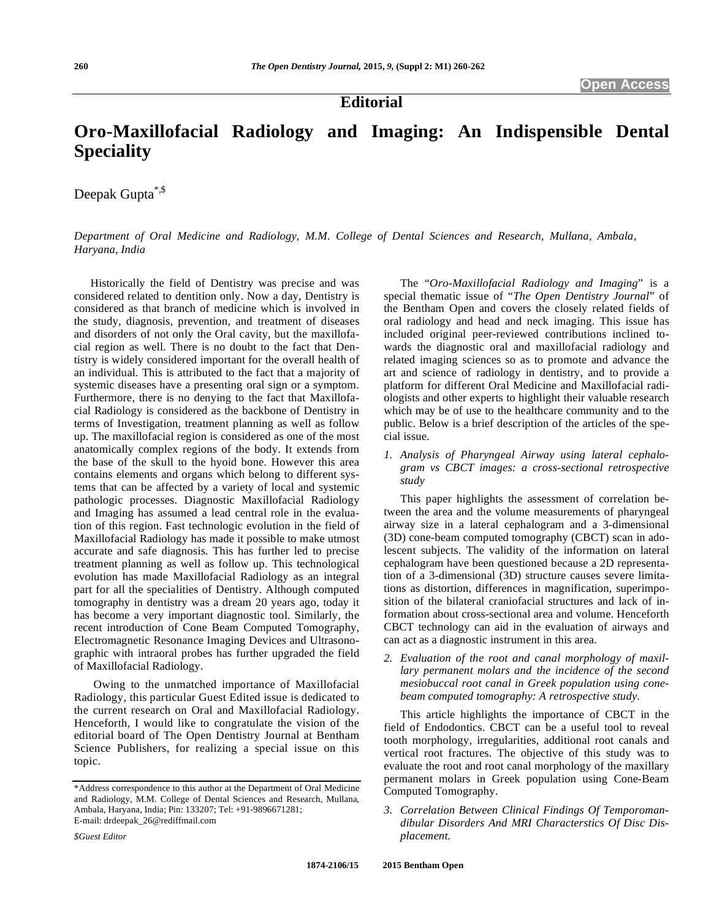**Editorial** 

# **Oro-Maxillofacial Radiology and Imaging: An Indispensible Dental Speciality**

Deepak Gupta<sup>\*,\$</sup>

*Department of Oral Medicine and Radiology, M.M. College of Dental Sciences and Research, Mullana, Ambala, Haryana, India* 

Historically the field of Dentistry was precise and was considered related to dentition only. Now a day, Dentistry is considered as that branch of medicine which is involved in the study, diagnosis, prevention, and treatment of diseases and disorders of not only the Oral cavity, but the maxillofacial region as well. There is no doubt to the fact that Dentistry is widely considered important for the overall health of an individual. This is attributed to the fact that a majority of systemic diseases have a presenting oral sign or a symptom. Furthermore, there is no denying to the fact that Maxillofacial Radiology is considered as the backbone of Dentistry in terms of Investigation, treatment planning as well as follow up. The maxillofacial region is considered as one of the most anatomically complex regions of the body. It extends from the base of the skull to the hyoid bone. However this area contains elements and organs which belong to different systems that can be affected by a variety of local and systemic pathologic processes. Diagnostic Maxillofacial Radiology and Imaging has assumed a lead central role in the evaluation of this region. Fast technologic evolution in the field of Maxillofacial Radiology has made it possible to make utmost accurate and safe diagnosis. This has further led to precise treatment planning as well as follow up. This technological evolution has made Maxillofacial Radiology as an integral part for all the specialities of Dentistry. Although computed tomography in dentistry was a dream 20 years ago, today it has become a very important diagnostic tool. Similarly, the recent introduction of Cone Beam Computed Tomography, Electromagnetic Resonance Imaging Devices and Ultrasonographic with intraoral probes has further upgraded the field of Maxillofacial Radiology.

 Owing to the unmatched importance of Maxillofacial Radiology, this particular Guest Edited issue is dedicated to the current research on Oral and Maxillofacial Radiology. Henceforth, I would like to congratulate the vision of the editorial board of The Open Dentistry Journal at Bentham Science Publishers, for realizing a special issue on this topic.

The "*Oro-Maxillofacial Radiology and Imaging*" is a special thematic issue of "*The Open Dentistry Journal*" of the Bentham Open and covers the closely related fields of oral radiology and head and neck imaging. This issue has included original peer-reviewed contributions inclined towards the diagnostic oral and maxillofacial radiology and related imaging sciences so as to promote and advance the art and science of radiology in dentistry, and to provide a platform for different Oral Medicine and Maxillofacial radiologists and other experts to highlight their valuable research which may be of use to the healthcare community and to the public. Below is a brief description of the articles of the special issue.

*1. Analysis of Pharyngeal Airway using lateral cephalogram vs CBCT images: a cross-sectional retrospective study* 

This paper highlights the assessment of correlation between the area and the volume measurements of pharyngeal airway size in a lateral cephalogram and a 3-dimensional (3D) cone-beam computed tomography (CBCT) scan in adolescent subjects. The validity of the information on lateral cephalogram have been questioned because a 2D representation of a 3-dimensional (3D) structure causes severe limitations as distortion, differences in magnification, superimposition of the bilateral craniofacial structures and lack of information about cross-sectional area and volume. Henceforth CBCT technology can aid in the evaluation of airways and can act as a diagnostic instrument in this area.

*2. Evaluation of the root and canal morphology of maxillary permanent molars and the incidence of the second mesiobuccal root canal in Greek population using conebeam computed tomography: A retrospective study.* 

This article highlights the importance of CBCT in the field of Endodontics. CBCT can be a useful tool to reveal tooth morphology, irregularities, additional root canals and vertical root fractures. The objective of this study was to evaluate the root and root canal morphology of the maxillary permanent molars in Greek population using Cone-Beam Computed Tomography.

*3. Correlation Between Clinical Findings Of Temporomandibular Disorders And MRI Characterstics Of Disc Displacement.* 

<sup>\*</sup>Address correspondence to this author at the Department of Oral Medicine and Radiology, M.M. College of Dental Sciences and Research, Mullana, Ambala, Haryana, India; Pin: 133207; Tel: +91-9896671281; E-mail: drdeepak\_26@rediffmail.com

*<sup>\$</sup>Guest Editor*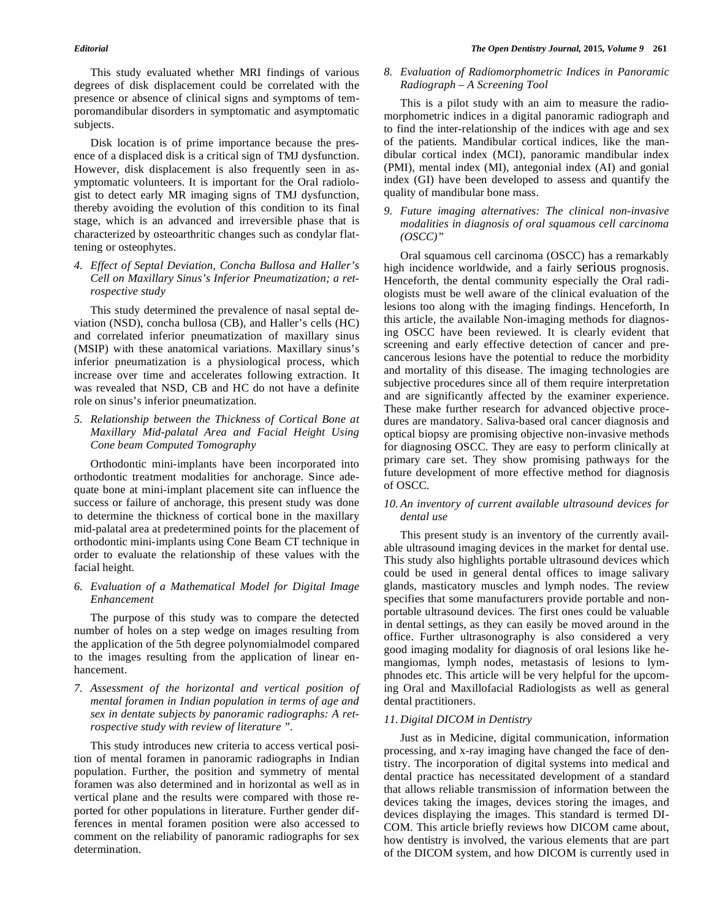This study evaluated whether MRI findings of various degrees of disk displacement could be correlated with the presence or absence of clinical signs and symptoms of temporomandibular disorders in symptomatic and asymptomatic subjects.

Disk location is of prime importance because the presence of a displaced disk is a critical sign of TMJ dysfunction. However, disk displacement is also frequently seen in asymptomatic volunteers. It is important for the Oral radiologist to detect early MR imaging signs of TMJ dysfunction, thereby avoiding the evolution of this condition to its final stage, which is an advanced and irreversible phase that is characterized by osteoarthritic changes such as condylar flattening or osteophytes.

*4. Effect of Septal Deviation, Concha Bullosa and Haller's Cell on Maxillary Sinus's Inferior Pneumatization; a retrospective study* 

This study determined the prevalence of nasal septal deviation (NSD), concha bullosa (CB), and Haller's cells (HC) and correlated inferior pneumatization of maxillary sinus (MSIP) with these anatomical variations. Maxillary sinus's inferior pneumatization is a physiological process, which increase over time and accelerates following extraction. It was revealed that NSD, CB and HC do not have a definite role on sinus's inferior pneumatization.

*5. Relationship between the Thickness of Cortical Bone at Maxillary Mid-palatal Area and Facial Height Using Cone beam Computed Tomography* 

Orthodontic mini-implants have been incorporated into orthodontic treatment modalities for anchorage. Since adequate bone at mini-implant placement site can influence the success or failure of anchorage, this present study was done to determine the thickness of cortical bone in the maxillary mid-palatal area at predetermined points for the placement of orthodontic mini-implants using Cone Beam CT technique in order to evaluate the relationship of these values with the facial height.

*6. Evaluation of a Mathematical Model for Digital Image Enhancement* 

The purpose of this study was to compare the detected number of holes on a step wedge on images resulting from the application of the 5th degree polynomialmodel compared to the images resulting from the application of linear enhancement.

*7. Assessment of the horizontal and vertical position of mental foramen in Indian population in terms of age and sex in dentate subjects by panoramic radiographs: A retrospective study with review of literature ".* 

This study introduces new criteria to access vertical position of mental foramen in panoramic radiographs in Indian population. Further, the position and symmetry of mental foramen was also determined and in horizontal as well as in vertical plane and the results were compared with those reported for other populations in literature. Further gender differences in mental foramen position were also accessed to comment on the reliability of panoramic radiographs for sex determination.

## *8. Evaluation of Radiomorphometric Indices in Panoramic Radiograph – A Screening Tool*

This is a pilot study with an aim to measure the radiomorphometric indices in a digital panoramic radiograph and to find the inter-relationship of the indices with age and sex of the patients. Mandibular cortical indices, like the mandibular cortical index (MCI), panoramic mandibular index (PMI), mental index (MI), antegonial index (AI) and gonial index (GI) have been developed to assess and quantify the quality of mandibular bone mass.

*9. Future imaging alternatives: The clinical non-invasive modalities in diagnosis of oral squamous cell carcinoma (OSCC)"* 

Oral squamous cell carcinoma (OSCC) has a remarkably high incidence worldwide, and a fairly serious prognosis. Henceforth, the dental community especially the Oral radiologists must be well aware of the clinical evaluation of the lesions too along with the imaging findings. Henceforth, In this article, the available Non-imaging methods for diagnosing OSCC have been reviewed. It is clearly evident that screening and early effective detection of cancer and precancerous lesions have the potential to reduce the morbidity and mortality of this disease. The imaging technologies are subjective procedures since all of them require interpretation and are significantly affected by the examiner experience. These make further research for advanced objective procedures are mandatory. Saliva-based oral cancer diagnosis and optical biopsy are promising objective non-invasive methods for diagnosing OSCC. They are easy to perform clinically at primary care set. They show promising pathways for the future development of more effective method for diagnosis of OSCC.

# *10. An inventory of current available ultrasound devices for dental use*

This present study is an inventory of the currently available ultrasound imaging devices in the market for dental use. This study also highlights portable ultrasound devices which could be used in general dental offices to image salivary glands, masticatory muscles and lymph nodes. The review specifies that some manufacturers provide portable and nonportable ultrasound devices. The first ones could be valuable in dental settings, as they can easily be moved around in the office. Further ultrasonography is also considered a very good imaging modality for diagnosis of oral lesions like hemangiomas, lymph nodes, metastasis of lesions to lymphnodes etc. This article will be very helpful for the upcoming Oral and Maxillofacial Radiologists as well as general dental practitioners.

#### *11. Digital DICOM in Dentistry*

Just as in Medicine, digital communication, information processing, and x-ray imaging have changed the face of dentistry. The incorporation of digital systems into medical and dental practice has necessitated development of a standard that allows reliable transmission of information between the devices taking the images, devices storing the images, and devices displaying the images. This standard is termed DI-COM. This article briefly reviews how DICOM came about, how dentistry is involved, the various elements that are part of the DICOM system, and how DICOM is currently used in